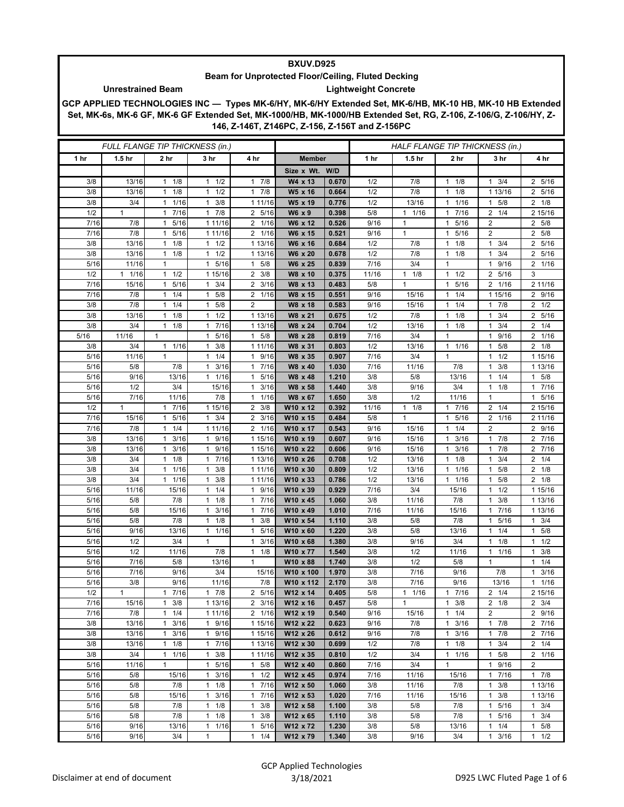## **BXUV.D925**

## **Lightweight Concrete Beam for Unprotected Floor/Ceiling, Fluted Decking**

**GCP APPLIED TECHNOLOGIES INC — Types MK-6/HY, MK-6/HY Extended Set, MK-6/HB, MK-10 HB, MK-10 HB Extended Set, MK-6s, MK-6 GF, MK-6 GF Extended Set, MK-1000/HB, MK-1000/HB Extended Set, RG, Z-106, Z-106/G, Z-106/HY, Z-146, Z-146T, Z146PC, Z-156, Z-156T and Z-156PC**

| FULL FLANGE TIP THICKNESS (in.) |                   |                                            |                           |                                     | HALF FLANGE TIP THICKNESS (in.) |                |             |                   |                                     |                                      |                           |
|---------------------------------|-------------------|--------------------------------------------|---------------------------|-------------------------------------|---------------------------------|----------------|-------------|-------------------|-------------------------------------|--------------------------------------|---------------------------|
| 1 hr                            | 1.5 <sub>hr</sub> | 2 hr                                       | 3 hr                      | 4 hr                                | <b>Member</b>                   |                | 1 hr        | 1.5 <sub>hr</sub> | 2 hr                                | 3 hr                                 | 4 hr                      |
|                                 |                   |                                            |                           |                                     | Size x Wt. W/D                  |                |             |                   |                                     |                                      |                           |
| 3/8                             | 13/16             | $1 \t1/8$                                  | $1 \t1/2$                 | $1 \t7/8$                           | W4 x 13                         | 0.670          | 1/2         | 7/8               | 1/8<br>$\mathbf{1}$                 | $1 \t3/4$                            | 2 5/16                    |
| 3/8                             | 13/16             | 1/8<br>1                                   | $1 \t1/2$                 | $1 \t7/8$                           | W5 x 16                         | 0.664          | 1/2         | 7/8               | 1/8<br>1                            | 1 13/16                              | 2 5/16                    |
| 3/8                             | 3/4               | 1/16<br>1                                  | $1 \t3/8$                 | 1 11/16                             | W5 x 19                         | 0.776          | 1/2         | 13/16             | 1/16<br>$\mathbf{1}$                | 5/8<br>$\mathbf{1}$                  | $2 \t1/8$                 |
| 1/2                             | $\mathbf{1}$      | 7/16<br>$\mathbf{1}$                       | $1 \t7/8$                 | 2 5/16                              | W6 x 9                          | 0.398          | 5/8         | $1 \t1/16$        | 7/16<br>$\mathbf{1}$                | $2 \t1/4$                            | 2 15/16                   |
| 7/16                            | 7/8               | 5/16<br>1                                  | 1 11/16                   | 2 1/16                              | W6 x 12                         | 0.526          | 9/16        | 1                 | 5/16<br>$\mathbf{1}$                | $\overline{2}$                       | 2 5/8                     |
| 7/16                            | 7/8               | 5/16<br>1                                  | 1 11/16                   | 2 1/16                              | W6 x 15                         | 0.521          | 9/16        | $\mathbf{1}$      | 5/16<br>$\mathbf{1}$                | $\overline{2}$                       | 2 5/8                     |
| 3/8                             | 13/16             | 1/8<br>$\mathbf{1}$                        | $1 \t1/2$                 | 1 13/16                             | W6 x 16                         | 0.684          | 1/2         | 7/8               | 1/8<br>$\mathbf{1}$                 | $1 \t3/4$                            | 2 5/16                    |
| 3/8                             | 13/16             | 1/8<br>$\mathbf{1}$                        | $1 \t1/2$                 | 1 13/16                             | W6 x 20                         | 0.678          | 1/2         | 7/8               | 1/8<br>$\mathbf{1}$                 | 3/4<br>1                             | 2 5/16                    |
| 5/16                            | 11/16             | $\mathbf{1}$                               | 1 5/16                    | 5/8<br>$\mathbf{1}$                 | W6 x 25                         | 0.839          | 7/16        | 3/4               | $\mathbf{1}$                        | 9/16<br>1                            | 2 1/16                    |
| 1/2                             | 11/16             | 1/2<br>$\mathbf{1}$                        | 1 15/16                   | $2 \frac{3}{8}$                     | W8 x 10                         | 0.375          | 11/16       | $1 \t1/8$         | $\mathbf{1}$<br>1/2                 | 2 5/16                               | 3                         |
| 7/16                            | 15/16             | 5/16<br>1                                  | $1 \t3/4$                 | $2 \frac{3}{16}$                    | W8 x 13                         | 0.483          | 5/8         | $\mathbf{1}$      | 5/16<br>$\mathbf{1}$                | $\overline{2}$<br>1/16               | 2 11/16                   |
| 7/16                            | 7/8<br>7/8        | 1/4<br>1                                   | $1 \t5/8$<br>$\mathbf{1}$ | 2 1/16<br>2                         | W8 x 15                         | 0.551          | 9/16        | 15/16             | 1/4<br>$\mathbf{1}$<br>$\mathbf{1}$ | 1 15/16                              | 2 9/16                    |
| 3/8<br>3/8                      | 13/16             | 1/4<br>$\mathbf{1}$<br>1/8<br>$\mathbf{1}$ | 5/8<br>$1 \t1/2$          | 1 13/16                             | W8 x 18<br>W8 x 21              | 0.583<br>0.675 | 9/16<br>1/2 | 15/16<br>7/8      | 1/4<br>1/8<br>$\mathbf{1}$          | 7/8<br>1<br>3/4<br>1                 | $2 \frac{1}{2}$<br>2 5/16 |
| 3/8                             | 3/4               | $1 \t1/8$                                  | 1 7/16                    | 1 13/16                             | W8 x 24                         | 0.704          | 1/2         | 13/16             | 1/8<br>$\mathbf{1}$                 | 3/4<br>1                             | $2 \t1/4$                 |
| 5/16                            | 11/16             | $\mathbf{1}$                               | 5/16<br>$\mathbf{1}$      | 5/8<br>1                            | W8 x 28                         | 0.819          | 7/16        | 3/4               | $\overline{1}$                      | 9/16<br>1                            | 2 1/16                    |
| 3/8                             | 3/4               | 1/16<br>$\mathbf{1}$                       | 3/8<br>1                  | 1 11/16                             | W8 x 31                         | 0.803          | 1/2         | 13/16             | $\mathbf{1}$<br>1/16                | 5/8<br>1                             | $2 \t1/8$                 |
| 5/16                            | 11/16             | $\mathbf{1}$                               | $1 \t1/4$                 | 1 9/16                              | W8 x 35                         | 0.907          | 7/16        | 3/4               | $\mathbf{1}$                        | 1/2<br>$\mathbf{1}$                  | 1 15/16                   |
| 5/16                            | 5/8               | 7/8                                        | 3/16<br>$\mathbf{1}$      | 17/16                               | W8 x 40                         | 1.030          | 7/16        | 11/16             | 7/8                                 | 3/8<br>1                             | 1 13/16                   |
| 5/16                            | 9/16              | 13/16                                      | 11/16                     | 5/16<br>$\mathbf{1}$                | W8 x 48                         | 1.210          | 3/8         | 5/8               | 13/16                               | 1/4<br>1                             | 1 5/8                     |
| 5/16                            | 1/2               | 3/4                                        | 15/16                     | 3/16<br>$\mathbf{1}$                | W8 x 58                         | 1.440          | 3/8         | 9/16              | 3/4                                 | 1/8<br>$\mathbf{1}$                  | 1 7/16                    |
| 5/16                            | 7/16              | 11/16                                      | 7/8                       | 1 1/16                              | W8 x 67                         | 1.650          | 3/8         | 1/2               | 11/16                               | $\mathbf{1}$                         | 1 5/16                    |
| 1/2                             | $\mathbf{1}$      | 7/16<br>1                                  | 1 15/16                   | $2 \frac{3}{8}$                     | W10 x 12                        | 0.392          | 11/16       | $1 \t1/8$         | 7/16<br>$\mathbf{1}$                | $2 \t1/4$                            | 2 15/16                   |
| 7/16                            | 15/16             | 5/16<br>1                                  | $1 \t3/4$                 | $2 \frac{3}{16}$                    | W10 x 15                        | 0.484          | 5/8         | $\mathbf{1}$      | 5/16<br>$\mathbf{1}$                | 2 1/16                               | 2 11/16                   |
| 7/16                            | 7/8               | 1/4<br>1                                   | 1 11/16                   | 2 1/16                              | W10 x 17                        | 0.543          | 9/16        | 15/16             | 1/4<br>$\mathbf{1}$                 | $\overline{2}$                       | 2 9/16                    |
| 3/8                             | 13/16             | 3/16<br>$\mathbf{1}$                       | 1 9/16                    | 1 15/16                             | W10 x 19                        | 0.607          | 9/16        | 15/16             | 3/16<br>$\mathbf{1}$                | 17/8                                 | 2 7/16                    |
| 3/8                             | 13/16             | 3/16<br>1                                  | 9/16<br>$\mathbf{1}$      | 1 15/16                             | W10 x 22                        | 0.606          | 9/16        | 15/16             | 3/16<br>1                           | 7/8<br>1                             | 2 7/16                    |
| 3/8                             | 3/4               | 1/8<br>1                                   | 17/16                     | 1 13/16                             | W10 x 26                        | 0.708          | 1/2         | 13/16             | 1/8<br>$\mathbf{1}$                 | 3/4<br>1                             | $2 \t1/4$                 |
| 3/8                             | 3/4               | $1 \t1/16$                                 | $1 \t3/8$                 | 1 11/16                             | W10 x 30                        | 0.809          | 1/2         | 13/16             | 1/16<br>1                           | $1 \t5/8$                            | $2 \t1/8$                 |
| 3/8                             | 3/4               | 1/16<br>$\mathbf{1}$                       | 3/8<br>$\mathbf{1}$       | 1 11/16                             | W10 x 33                        | 0.786          | 1/2         | 13/16             | 1/16<br>$\mathbf{1}$                | 5/8<br>1                             | $2 \t1/8$                 |
| 5/16                            | 11/16             | 15/16                                      | $1 \t1/4$                 | 1 9/16                              | W10 x 39                        | 0.929          | 7/16        | 3/4               | 15/16                               | 1/2<br>$\mathbf{1}$                  | 1 15/16                   |
| 5/16                            | 5/8               | 7/8                                        | $1 \t1/8$                 | 1 7/16                              | W10 x 45                        | 1.060          | 3/8         | 11/16             | 7/8                                 | 3/8<br>1                             | 1 13/16                   |
| 5/16                            | 5/8               | 15/16                                      | 3/16<br>1                 | 7/16<br>$\mathbf{1}$                | W10 x 49                        | 1.010          | 7/16        | 11/16             | 15/16                               | 7/16<br>1                            | 1 13/16                   |
| 5/16                            | 5/8               | 7/8                                        | $1 \t1/8$                 | 3/8<br>$\mathbf{1}$                 | W10 x 54                        | 1.110          | 3/8         | 5/8               | 7/8                                 | 5/16<br>1                            | $1 \t3/4$                 |
| 5/16                            | 9/16              | 13/16                                      | 11/16                     | 5/16<br>$\mathbf{1}$                | W10 x 60                        | 1.220          | 3/8         | 5/8               | 13/16                               | 1/4<br>1                             | $1 \t5/8$                 |
| 5/16                            | 1/2               | 3/4                                        | $\mathbf{1}$              | 3/16<br>1                           | W10 x 68                        | 1.380          | 3/8         | 9/16              | 3/4                                 | 1/8<br>1                             | $1 \t1/2$                 |
| 5/16<br>5/16                    | 1/2<br>7/16       | 11/16<br>5/8                               | 7/8<br>13/16              | 1/8<br>$\mathbf{1}$<br>$\mathbf{1}$ | W10 x 77<br>W10 x 88            | 1.540<br>1.740 | 3/8<br>3/8  | 1/2<br>1/2        | 11/16<br>5/8                        | 1/16<br>$\mathbf{1}$<br>$\mathbf{1}$ | $1 \t3/8$<br>$1 \t1/4$    |
| 5/16                            | 7/16              | 9/16                                       | 3/4                       | 15/16                               | W10 x 100                       | 1.970          | 3/8         | 7/16              | 9/16                                | 7/8                                  | 3/16<br>1.                |
| 5/16                            | 3/8               | 9/16                                       | 11/16                     | 7/8                                 | W10 x 112                       | 2.170          | 3/8         | 7/16              | 9/16                                | 13/16                                | 1 1/16                    |
| 1/2                             | 1                 | 7/16                                       | 7/8                       | $\overline{2}$<br>5/16              | W12 x 14                        | 0.405          | 5/8         | 1/16<br>1         | 7/16                                | $\overline{2}$<br>1/4                | 2 15/16                   |
| 7/16                            | 15/16             | 3/8<br>$\mathbf{1}$                        | 1 13/16                   | $2 \frac{3}{16}$                    | W12 x 16                        | 0.457          | 5/8         | 1                 | 3/8<br>$\mathbf{1}$                 | $2 \t1/8$                            | $2 \frac{3}{4}$           |
| 7/16                            | 7/8               | $1 \t1/4$                                  | 1 11/16                   | 2 1/16                              | W12 x 19                        | 0.540          | 9/16        | 15/16             | 1/4<br>$\mathbf{1}$                 | $\overline{2}$                       | 2 9/16                    |
| 3/8                             | 13/16             | 3/16<br>$\mathbf{1}$                       | 1 9/16                    | 1 15/16                             | W12 x 22                        | 0.623          | 9/16        | 7/8               | 3/16<br>$\mathbf{1}$                | 17/8                                 | 2 7/16                    |
| 3/8                             | 13/16             | 3/16<br>$\mathbf{1}$                       | 1 9/16                    | 1 15/16                             | W12 x 26                        | 0.612          | 9/16        | 7/8               | 3/16<br>1                           | 7/8<br>$\mathbf{1}$                  | 2 7/16                    |
| 3/8                             | 13/16             | 1/8<br>$\mathbf{1}$                        | 17/16                     | 1 13/16                             | W12 x 30                        | 0.699          | 1/2         | 7/8               | 1/8<br>1                            | 3/4<br>$\mathbf{1}$                  | $2 \t1/4$                 |
| 3/8                             | 3/4               | 1 1/16                                     | $1 \t3/8$                 | 1 11/16                             | W12 x 35                        | 0.810          | 1/2         | 3/4               | $1 \t1/16$                          | $1 \t5/8$                            | 2 1/16                    |
| 5/16                            | 11/16             | 1                                          | 1 5/16                    | $1 \t5/8$                           | W12 x 40                        | 0.860          | 7/16        | 3/4               | $\mathbf{1}$                        | 1 9/16                               | 2                         |
| 5/16                            | 5/8               | 15/16                                      | 3/16<br>$\mathbf{1}$      | $1 \t1/2$                           | W12 x 45                        | 0.974          | 7/16        | 11/16             | 15/16                               | 7/16<br>$\mathbf{1}$                 | $1 \t7/8$                 |
| 5/16                            | 5/8               | 7/8                                        | $1 \t1/8$                 | 1 7/16                              | W12 x 50                        | 1.060          | 3/8         | 11/16             | 7/8                                 | 3/8<br>$\mathbf{1}$                  | 1 13/16                   |
| 5/16                            | 5/8               | 15/16                                      | $1 \t3/16$                | 1 7/16                              | W12 x 53                        | 1.020          | 7/16        | 11/16             | 15/16                               | $1 \t3/8$                            | 1 13/16                   |
| 5/16                            | 5/8               | 7/8                                        | $1 \t1/8$                 | $\mathbf{1}$<br>3/8                 | W12 x 58                        | 1.100          | 3/8         | 5/8               | 7/8                                 | 5/16<br>1                            | $1 \t3/4$                 |
| 5/16                            | 5/8               | 7/8                                        | $1 \t1/8$                 | 3/8<br>$\mathbf{1}$                 | W12 x 65                        | 1.110          | 3/8         | 5/8               | 7/8                                 | 5/16<br>$\mathbf{1}$                 | $1 \t3/4$                 |
| 5/16                            | 9/16              | 13/16                                      | $1 \t1/16$                | 1 5/16                              | W12 x 72                        | 1.230          | 3/8         | 5/8               | 13/16                               | $1 \t1/4$                            | $1 \t5/8$                 |
| 5/16                            | 9/16              | 3/4                                        | $\mathbf{1}$              | $1 \t1/4$                           | W12 x 79                        | 1.340          | 3/8         | 9/16              | 3/4                                 | 3/16<br>1                            | $1 \t1/2$                 |

**Unrestrained Beam**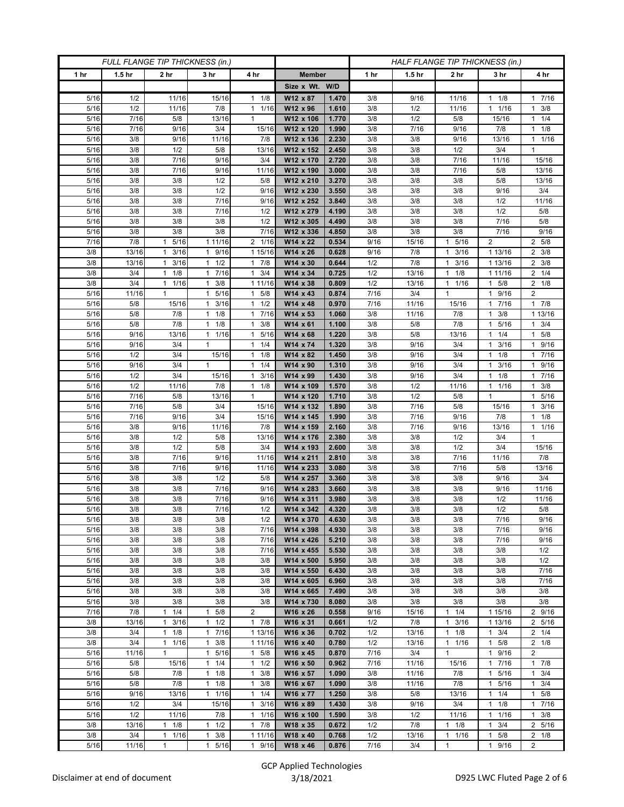| FULL FLANGE TIP THICKNESS (in.) |                   |                                             |                              |                                   | HALF FLANGE TIP THICKNESS (in.) |                |            |                   |                                  |                                  |                        |
|---------------------------------|-------------------|---------------------------------------------|------------------------------|-----------------------------------|---------------------------------|----------------|------------|-------------------|----------------------------------|----------------------------------|------------------------|
| 1 hr                            | 1.5 <sub>hr</sub> | 2 <sub>hr</sub>                             | 3 <sub>hr</sub>              | 4 hr                              | <b>Member</b>                   |                | 1 hr       | 1.5 <sub>hr</sub> | 2 <sub>hr</sub>                  | 3 <sub>hr</sub>                  | 4 hr                   |
|                                 |                   |                                             |                              |                                   | Size x Wt. W/D                  |                |            |                   |                                  |                                  |                        |
| 5/16                            | 1/2               | 11/16                                       | 15/16                        | $1 \t1/8$                         | W12 x 87                        | 1.470          | 3/8        | 9/16              | 11/16                            | 1/8<br>1                         | 1 7/16                 |
| 5/16                            | 1/2               | 11/16                                       | 7/8                          | 11/16                             | W12 x 96                        | 1.610          | 3/8        | 1/2               | 11/16                            | 1/16<br>$\mathbf{1}$             | $1 \t3/8$              |
| 5/16<br>5/16                    | 7/16<br>7/16      | 5/8<br>9/16                                 | 13/16<br>3/4                 | $\mathbf{1}$<br>15/16             | W12 x 106<br>W12 x 120          | 1.770<br>1.990 | 3/8<br>3/8 | 1/2<br>7/16       | 5/8<br>9/16                      | 15/16<br>7/8                     | $1 \t1/4$<br>$1 \t1/8$ |
| 5/16                            | 3/8               | 9/16                                        | 11/16                        | 7/8                               | W12 x 136                       | 2.230          | 3/8        | 3/8               | 9/16                             | 13/16                            | 11/16                  |
| 5/16                            | 3/8               | 1/2                                         | 5/8                          | 13/16                             | W12 x 152                       | 2.450          | 3/8        | 3/8               | 1/2                              | 3/4                              | $\mathbf{1}$           |
| 5/16                            | 3/8               | 7/16                                        | 9/16                         | 3/4                               | W12 x 170                       | 2.720          | 3/8        | 3/8               | $7/16$                           | 11/16                            | 15/16                  |
| 5/16                            | 3/8               | 7/16                                        | 9/16                         | 11/16                             | W12 x 190                       | 3.000          | 3/8        | 3/8               | 7/16                             | 5/8                              | 13/16                  |
| 5/16                            | 3/8               | 3/8                                         | 1/2                          | 5/8                               | W12 x 210                       | 3.270          | 3/8        | 3/8               | 3/8                              | 5/8                              | 13/16                  |
| 5/16                            | 3/8               | 3/8                                         | 1/2                          | 9/16                              | W12 x 230                       | 3.550          | 3/8        | 3/8               | 3/8                              | 9/16                             | 3/4                    |
| 5/16                            | 3/8               | 3/8                                         | 7/16                         | 9/16                              | W12 x 252                       | 3.840          | 3/8        | 3/8               | 3/8                              | 1/2                              | 11/16                  |
| 5/16                            | 3/8               | 3/8                                         | 7/16                         | 1/2                               | W12 x 279                       | 4.190          | 3/8        | 3/8               | 3/8                              | 1/2                              | 5/8                    |
| 5/16<br>5/16                    | 3/8<br>3/8        | 3/8<br>3/8                                  | 3/8<br>3/8                   | 1/2<br>7/16                       | W12 x 305<br>W12 x 336          | 4.490<br>4.850 | 3/8<br>3/8 | 3/8<br>3/8        | 3/8<br>3/8                       | 7/16<br>7/16                     | 5/8<br>9/16            |
| 7/16                            | 7/8               | 5/16<br>1                                   | 1 11/16                      | 2 1/16                            | W14 x 22                        | 0.534          | 9/16       | 15/16             | 5/16<br>$\mathbf{1}$             | 2                                | 2 5/8                  |
| 3/8                             | 13/16             | 3/16<br>1                                   | 1 9/16                       | 1 15/16                           | W14 x 26                        | 0.628          | 9/16       | 7/8               | 3/16<br>$\mathbf{1}$             | 1 13/16                          | $2 \frac{3}{8}$        |
| 3/8                             | 13/16             | 3/16<br>$\mathbf{1}$                        | $1 \t1/2$                    | $1 \t7/8$                         | W14 x 30                        | 0.644          | 1/2        | 7/8               | 3/16<br>$\mathbf{1}$             | 1 13/16                          | $2 \frac{3}{8}$        |
| 3/8                             | 3/4               | 1/8<br>$\mathbf{1}$                         | 17/16                        | $1 \t3/4$                         | W14 x 34                        | 0.725          | 1/2        | 13/16             | 1/8<br>1                         | 1 1 1 / 1 6                      | $2 \t1/4$              |
| 3/8                             | 3/4               | 11/16                                       | 3/8<br>$\mathbf{1}$          | 1 11/16                           | W14 x 38                        | 0.809          | 1/2        | 13/16             | 1/16<br>1                        | $1 \t5/8$                        | $2 \t1/8$              |
| 5/16                            | 11/16             | $\mathbf{1}$                                | 5/16<br>$\mathbf{1}$         | $\mathbf{1}$<br>5/8               | W14 x 43                        | 0.874          | 7/16       | 3/4               | 1                                | 9/16<br>1                        | $\overline{2}$         |
| 5/16                            | 5/8               | 15/16                                       | 3/16<br>$\mathbf{1}$         | $1 \t1/2$                         | W14 x 48                        | 0.970          | 7/16       | 11/16             | 15/16                            | 7/16<br>1                        | 17/8                   |
| 5/16                            | 5/8               | 7/8                                         | $1 \t1/8$                    | 17/16                             | W14 x 53                        | 1.060          | 3/8        | 11/16             | 7/8                              | 3/8<br>$\mathbf{1}$              | 1 13/16                |
| 5/16                            | 5/8               | 7/8                                         | 1/8<br>1                     | 3/8<br>1                          | W14 x 61                        | 1.100<br>1.220 | 3/8        | 5/8               | 7/8                              | 5/16<br>1                        | $1 \t3/4$              |
| 5/16<br>5/16                    | 9/16<br>9/16      | 13/16<br>3/4                                | 1 1/16<br>$\mathbf{1}$       | 5/16<br>$\mathbf{1}$<br>$1 \t1/4$ | W14 x 68<br>W14 x 74            | 1.320          | 3/8<br>3/8 | 5/8<br>9/16       | 13/16<br>3/4                     | 1/4<br>$1 \t3/16$                | $1 \t5/8$<br>1 9/16    |
| 5/16                            | 1/2               | 3/4                                         | 15/16                        | $1 \t1/8$                         | W14 x 82                        | 1.450          | 3/8        | 9/16              | 3/4                              | 1/8<br>1                         | 17/16                  |
| 5/16                            | 9/16              | 3/4                                         | $\mathbf{1}$                 | 1/4<br>$\mathbf{1}$               | W14 x 90                        | 1.310          | 3/8        | 9/16              | 3/4                              | 3/16<br>1                        | $1 \t9/16$             |
| 5/16                            | 1/2               | 3/4                                         | 15/16                        | $1 \t3/16$                        | W14 x 99                        | 1.430          | 3/8        | 9/16              | 3/4                              | 1/8<br>1                         | 17/16                  |
| 5/16                            | 1/2               | 11/16                                       | 7/8                          | $1 \t1/8$                         | W14 x 109                       | 1.570          | 3/8        | 1/2               | 11/16                            | 1/16<br>1                        | $1 \t3/8$              |
| 5/16                            | 7/16              | 5/8                                         | 13/16                        | $\mathbf{1}$                      | W14 x 120                       | 1.710          | 3/8        | 1/2               | 5/8                              | $\mathbf{1}$                     | 1 5/16                 |
| 5/16                            | 7/16              | 5/8                                         | 3/4                          | 15/16                             | W14 x 132                       | 1.890          | 3/8        | 7/16              | 5/8                              | 15/16                            | 3/16<br>$\mathbf{1}$   |
| 5/16                            | 7/16              | 9/16                                        | 3/4                          | 15/16                             | W14 x 145                       | 1.990          | 3/8        | 7/16              | 9/16                             | 7/8                              | $1 \t1/8$              |
| 5/16                            | 3/8               | 9/16                                        | 11/16                        | 7/8                               | W14 x 159                       | 2.160          | 3/8        | 7/16              | 9/16                             | 13/16                            | 11/16                  |
| 5/16<br>5/16                    | 3/8               | 1/2<br>1/2                                  | 5/8<br>5/8                   | 13/16<br>3/4                      | W14 x 176<br>W14 x 193          | 2.380<br>2.600 | 3/8<br>3/8 | 3/8<br>3/8        | 1/2<br>1/2                       | 3/4<br>3/4                       | $\mathbf{1}$<br>15/16  |
| 5/16                            | 3/8<br>3/8        | 7/16                                        | 9/16                         | 11/16                             | W14 x 211                       | 2.810          | 3/8        | 3/8               | 7/16                             | 11/16                            | 7/8                    |
| 5/16                            | 3/8               | 7/16                                        | 9/16                         | 11/16                             | W14 x 233                       | 3.080          | 3/8        | 3/8               | 7/16                             | 5/8                              | 13/16                  |
| 5/16                            | 3/8               | 3/8                                         | 1/2                          | 5/8                               | W14 x 257                       | 3.360          | 3/8        | 3/8               | 3/8                              | 9/16                             | 3/4                    |
| 5/16                            | 3/8               | 3/8                                         | 7/16                         | 9/16                              | W14 x 283                       | 3.660          | 3/8        | 3/8               | 3/8                              | 9/16                             | 11/16                  |
| 5/16                            | 3/8               | 3/8                                         | 7/16                         | 9/16                              | W14 x 311                       | 3.980          | 3/8        | 3/8               | 3/8                              | 1/2                              | 11/16                  |
| $5/16$                          | 3/8               | 3/8                                         | 7/16                         | 1/2                               | W14 x 342                       | 4.320          | 3/8        | 3/8               | 3/8                              | 1/2                              | $5/8$                  |
| 5/16                            | 3/8               | 3/8                                         | 3/8                          | 1/2                               | W14 x 370                       | 4.630          | 3/8        | 3/8               | 3/8                              | 7/16                             | 9/16                   |
| 5/16<br>5/16                    | 3/8               | 3/8<br>3/8                                  | 3/8                          | 7/16<br>7/16                      | W14 x 398<br>W14 x 426          | 4.930<br>5.210 | 3/8        | 3/8               | 3/8                              | 7/16<br>7/16                     | 9/16                   |
| 5/16                            | 3/8<br>3/8        | 3/8                                         | 3/8<br>3/8                   | 7/16                              | W14 x 455                       | 5.530          | 3/8<br>3/8 | 3/8<br>3/8        | 3/8<br>3/8                       | 3/8                              | 9/16<br>1/2            |
| 5/16                            | 3/8               | 3/8                                         | 3/8                          | 3/8                               | W14 x 500                       | 5.950          | 3/8        | 3/8               | 3/8                              | 3/8                              | 1/2                    |
| 5/16                            | 3/8               | 3/8                                         | 3/8                          | 3/8                               | W14 x 550                       | 6.430          | 3/8        | 3/8               | 3/8                              | 3/8                              | 7/16                   |
| 5/16                            | 3/8               | 3/8                                         | 3/8                          | 3/8                               | W14 x 605                       | 6.960          | 3/8        | 3/8               | 3/8                              | 3/8                              | 7/16                   |
| 5/16                            | 3/8               | 3/8                                         | 3/8                          | 3/8                               | W14 x 665                       | 7.490          | 3/8        | 3/8               | 3/8                              | 3/8                              | 3/8                    |
| 5/16                            | 3/8               | 3/8                                         | 3/8                          | 3/8                               | W14 x 730                       | 8.080          | 3/8        | 3/8               | 3/8                              | 3/8                              | 3/8                    |
| 7/16                            | 7/8               | 1/4<br>1                                    | 5/8<br>1                     | $\overline{2}$                    | W16 x 26                        | 0.558          | 9/16       | 15/16             | 1/4<br>$\mathbf{1}$              | 1 15/16                          | 2 9/16                 |
| 3/8                             | 13/16             | 3/16<br>$\mathbf{1}$                        | $1 \t1/2$                    | $1 \t7/8$                         | W16 x 31                        | 0.661          | 1/2        | 7/8               | 3/16<br>$\mathbf{1}$             | 1 13/16                          | 2 5/16                 |
| 3/8<br>3/8                      | 3/4<br>3/4        | 1/8<br>$\mathbf{1}$<br>1/16<br>$\mathbf{1}$ | 17/16<br>3/8<br>$\mathbf{1}$ | 1 13/16<br>1 11/16                | W16 x 36<br>W16 x 40            | 0.702<br>0.780 | 1/2<br>1/2 | 13/16<br>13/16    | 1/8<br>$\mathbf{1}$<br>1/16<br>1 | $1 \t3/4$<br>5/8<br>$\mathbf{1}$ | $2 \t1/4$<br>$2 \t1/8$ |
| 5/16                            | 11/16             | $\mathbf{1}$                                | $\mathbf{1}$<br>5/16         | $1 \t5/8$                         | W16 x 45                        | 0.870          | 7/16       | 3/4               | $\mathbf{1}$                     | 9/16<br>$\mathbf{1}$             | $\overline{2}$         |
| 5/16                            | 5/8               | 15/16                                       | $1 \t1/4$                    | $1 \t1/2$                         | W16 x 50                        | 0.962          | 7/16       | 11/16             | 15/16                            | 1 7/16                           | 17/8                   |
| 5/16                            | 5/8               | 7/8                                         | $1 \t1/8$                    | 3/8<br>$\mathbf{1}$               | W16 x 57                        | 1.090          | 3/8        | 11/16             | 7/8                              | 5/16<br>$\mathbf{1}$             | $1 \t3/4$              |
| 5/16                            | 5/8               | 7/8                                         | $1 \t1/8$                    | 3/8<br>$\mathbf{1}$               | W16 x 67                        | 1.090          | 3/8        | 11/16             | 7/8                              | 5/16<br>1                        | $1 \t3/4$              |
| 5/16                            | 9/16              | 13/16                                       | $1 \t1/16$                   | 1/4<br>$\mathbf{1}$               | W16 x 77                        | 1.250          | 3/8        | 5/8               | 13/16                            | 1/4<br>1                         | 1 5/8                  |
| 5/16                            | 1/2               | 3/4                                         | 15/16                        | 3/16<br>$\mathbf{1}$              | W16 x 89                        | 1.430          | 3/8        | 9/16              | 3/4                              | 1/8<br>1                         | 17/16                  |
| 5/16                            | 1/2               | 11/16                                       | 7/8                          | $1 \t1/16$                        | W16 x 100                       | 1.590          | 3/8        | 1/2               | 11/16                            | 1/16<br>$\mathbf{1}$             | $1 \t3/8$              |
| 3/8                             | 13/16             | 1/8<br>1                                    | 1/2<br>$\mathbf{1}$          | 7/8<br>$\mathbf{1}$               | W18 x 35                        | 0.672          | 1/2        | 7/8               | 1/8<br>$\mathbf{1}$              | 3/4                              | 2 5/16                 |
| 3/8                             | 3/4               | 1/16<br>$\mathbf{1}$                        | 3/8<br>1                     | 1 11/16                           | W18 x 40                        | 0.768          | 1/2        | 13/16             | 1/16<br>1                        | $5/8$<br>1                       | $2 \t1/8$              |
| 5/16                            | 11/16             | $\mathbf{1}$                                | 1 5/16                       | 1 9/16                            | W18 x 46                        | 0.876          | 7/16       | 3/4               | $\mathbf{1}$                     | 9/16<br>$\mathbf{1}$             | $\overline{2}$         |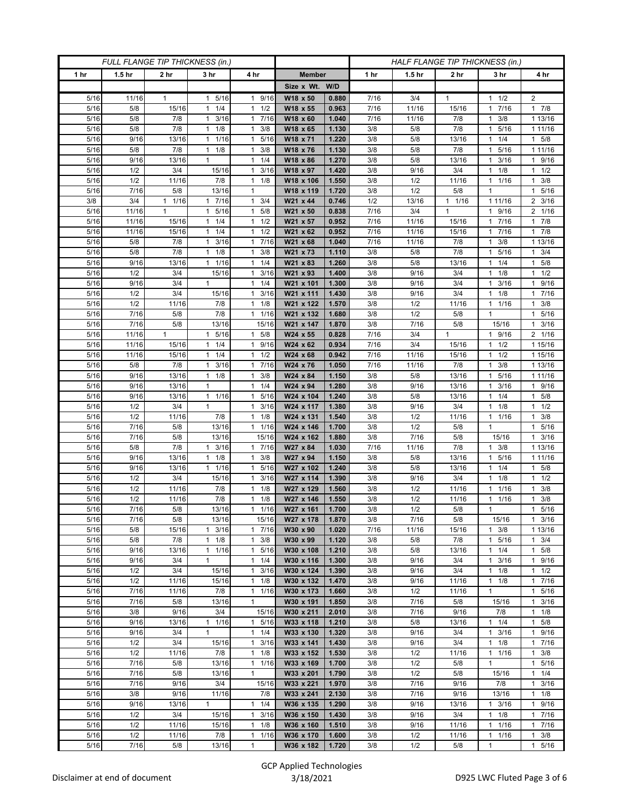| FULL FLANGE TIP THICKNESS (in.) |                   |                 |                            |                                  |                        | HALF FLANGE TIP THICKNESS (in.) |            |                   |                 |                                  |                        |
|---------------------------------|-------------------|-----------------|----------------------------|----------------------------------|------------------------|---------------------------------|------------|-------------------|-----------------|----------------------------------|------------------------|
| 1 hr                            | 1.5 <sub>hr</sub> | 2 <sub>hr</sub> | 3 <sub>hr</sub>            | 4 hr                             | <b>Member</b>          |                                 | 1 hr       | 1.5 <sub>hr</sub> | 2 <sub>hr</sub> | 3 hr                             | 4 hr                   |
|                                 |                   |                 |                            |                                  | Size x Wt. W/D         |                                 |            |                   |                 |                                  |                        |
| 5/16                            | 11/16             | 1               | 1 5/16                     | 1 9/16                           | W18 x 50               | 0.880                           | 7/16       | 3/4               | $\mathbf{1}$    | 1/2<br>1                         | $\overline{2}$         |
| 5/16                            | 5/8               | 15/16           | 1/4<br>$\mathbf{1}$        | $\mathbf{1}$<br>1/2              | W18 x 55               | 0.963                           | 7/16       | 11/16             | 15/16           | 7/16<br>1                        | 17/8                   |
| 5/16                            | 5/8               | 7/8             | $1 \t3/16$                 | 17/16                            | W18 x 60               | 1.040                           | 7/16       | 11/16             | 7/8             | 3/8<br>1                         | 1 13/16                |
| 5/16                            | 5/8               | 7/8             | 1/8<br>1                   | 3/8<br>1                         | W18 x 65               | 1.130                           | 3/8        | 5/8               | 7/8             | 5/16<br>1                        | 1 1 1 / 16             |
| 5/16                            | 9/16              | 13/16           | $\mathbf{1}$<br>1/16       | 5/16<br>1                        | W18 x 71               | 1.220                           | 3/8        | 5/8               | 13/16           | 1/4<br>1                         | $1 \t5/8$              |
| 5/16                            | 5/8               | 7/8             | $1 \t1/8$                  | 3/8<br>1                         | W18 x 76               | 1.130                           | 3/8        | 5/8               | 7/8             | 5/16<br>1                        | 1 1 1 / 16             |
| 5/16                            | 9/16<br>1/2       | 13/16<br>3/4    | 1<br>15/16                 | 1/4<br>1<br>3/16<br>$\mathbf{1}$ | W18 x 86<br>W18 x 97   | 1.270<br>1.420                  | 3/8        | 5/8               | 13/16<br>3/4    | 3/16<br>1<br>1/8                 | 1 9/16<br>$1 \t1/2$    |
| 5/16<br>5/16                    | 1/2               | 11/16           | 7/8                        | 1/8<br>$\mathbf{1}$              | W18 x 106              | 1.550                           | 3/8<br>3/8 | 9/16<br>1/2       | 11/16           | 1<br>1/16<br>1                   | $\mathbf{1}$<br>3/8    |
| 5/16                            | 7/16              | 5/8             | 13/16                      | 1                                | W18 x 119              | 1.720                           | 3/8        | 1/2               | 5/8             | 1                                | 1 5/16                 |
| 3/8                             | 3/4               | 1 1/16          | 1 7/16                     | $1 \t3/4$                        | W21 x 44               | 0.746                           | 1/2        | 13/16             | $1 \t1/16$      | 1 1 1/16                         | $2 \frac{3}{16}$       |
| 5/16                            | 11/16             | 1               | 1 5/16                     | 5/8<br>1                         | W21 x 50               | 0.838                           | 7/16       | 3/4               | $\mathbf{1}$    | 9/16<br>1                        | 2 1/16                 |
| 5/16                            | 11/16             | 15/16           | 1/4<br>$\mathbf{1}$        | 1/2<br>1                         | W21 x 57               | 0.952                           | 7/16       | 11/16             | 15/16           | 7/16<br>1                        | 17/8                   |
| 5/16                            | 11/16             | 15/16           | $1 \t1/4$                  | 1/2<br>$\mathbf{1}$              | W21 x 62               | 0.952                           | 7/16       | 11/16             | 15/16           | 7/16<br>$\mathbf{1}$             | 17/8                   |
| 5/16                            | 5/8               | 7/8             | 3/16<br>$\mathbf{1}$       | 7/16<br>$\mathbf{1}$             | W21 x 68               | 1.040                           | 7/16       | 11/16             | 7/8             | 3/8                              | 1 13/16                |
| 5/16                            | 5/8               | 7/8             | $1 \t1/8$                  | 3/8<br>1                         | W21 x 73               | 1.110                           | 3/8        | 5/8               | 7/8             | 5/16<br>1                        | $1 \t3/4$              |
| 5/16                            | 9/16              | 13/16           | 11/16                      | 1/4<br>$\mathbf{1}$              | W21 x 83               | 1.260                           | 3/8        | 5/8               | 13/16           | 1/4<br>1                         | 1 5/8                  |
| 5/16                            | 1/2               | 3/4             | 15/16                      | $1 \t3/16$                       | W21 x 93               | 1.400                           | 3/8        | 9/16              | 3/4             | $1 \t1/8$                        | $1 \t1/2$              |
| 5/16                            | 9/16              | 3/4             | 1                          | $1 \t1/4$                        | W21 x 101              | 1.300                           | 3/8        | 9/16              | 3/4             | 3/16<br>1                        | 1 9/16                 |
| 5/16                            | 1/2               | 3/4             | 15/16                      | 3/16<br>1                        | W21 x 111              | 1.430                           | 3/8        | 9/16              | 3/4             | 1/8<br>1                         | 1 7/16                 |
| 5/16                            | 1/2               | 11/16           | 7/8                        | $1 \t1/8$                        | W21 x 122              | 1.570                           | 3/8        | 1/2               | 11/16           | $1 \t1/16$                       | $1 \t3/8$              |
| 5/16                            | 7/16              | 5/8             | 7/8                        | $1 \t1/16$                       | W21 x 132              | 1.680                           | 3/8        | 1/2               | 5/8             | $\mathbf{1}$                     | 1 5/16                 |
| 5/16                            | 7/16              | 5/8             | 13/16                      | 15/16                            | W21 x 147              | 1.870                           | 3/8        | 7/16              | 5/8             | 15/16                            | 3/16<br>$\mathbf{1}$   |
| 5/16                            | 11/16             | $\mathbf{1}$    | 5/16<br>$\mathbf{1}$       | 5/8<br>1                         | W24 x 55               | 0.828                           | 7/16       | 3/4               | $\mathbf{1}$    | 9/16<br>$\mathbf{1}$             | 2 1/16                 |
| 5/16                            | 11/16             | 15/16           | $1 \t1/4$                  | 1 9/16                           | W24 x 62               | 0.934                           | 7/16       | 3/4               | 15/16           | $1 \t1/2$                        | 1 15/16                |
| 5/16                            | 11/16             | 15/16           | 1/4<br>1                   | 1/2<br>$\mathbf{1}$              | W24 x 68               | 0.942                           | 7/16       | 11/16             | 15/16           | 1/2<br>1                         | 1 15/16                |
| 5/16                            | 5/8               | 7/8             | 3/16<br>$\mathbf{1}$       | 7/16<br>1                        | W24 x 76               | 1.050                           | 7/16       | 11/16             | 7/8             | 3/8<br>1                         | 1 13/16                |
| 5/16                            | 9/16              | 13/16           | $1 \t1/8$                  | 3/8<br>$\mathbf{1}$              | W24 x 84               | 1.150                           | 3/8        | 5/8               | 13/16           | 5/16<br>$\mathbf{1}$             | 1 1 1 / 16             |
| 5/16                            | 9/16              | 13/16           | $\mathbf{1}$               | 1/4<br>1                         | W24 x 94               | 1.280                           | 3/8        | 9/16              | 13/16           | 3/16<br>1                        | 1 9/16                 |
| 5/16                            | 9/16<br>1/2       | 13/16<br>3/4    | $1 \t1/16$<br>$\mathbf{1}$ | 5/16<br>1<br>$\mathbf{1}$        | W24 x 104              | 1.240                           | 3/8        | 5/8               | 13/16<br>3/4    | 1/4<br>1                         | $1 \t5/8$              |
| 5/16<br>5/16                    | 1/2               | 11/16           | 7/8                        | 3/16<br>1/8<br>$\mathbf{1}$      | W24 x 117<br>W24 x 131 | 1.380<br>1.540                  | 3/8<br>3/8 | 9/16<br>1/2       | 11/16           | 1/8<br>1<br>1/16<br>$\mathbf{1}$ | $1 \t1/2$<br>$1 \t3/8$ |
| 5/16                            | 7/16              | 5/8             | 13/16                      | 1/16<br>$\mathbf{1}$             | W24 x 146              | 1.700                           | 3/8        | 1/2               | 5/8             | $\mathbf{1}$                     | 1 5/16                 |
| 5/16                            | 7/16              | 5/8             | 13/16                      | 15/16                            | W24 x 162              | 1.880                           | 3/8        | 7/16              | 5/8             | 15/16                            | $1 \t3/16$             |
| 5/16                            | 5/8               | 7/8             | $1 \t3/16$                 | 1 7/16                           | W27 x 84               | 1.030                           | 7/16       | 11/16             | 7/8             | 3/8<br>$\mathbf{1}$              | 1 13/16                |
| 5/16                            | 9/16              | 13/16           | $1 \t1/8$                  | 3/8<br>$\mathbf{1}$              | W27 x 94               | 1.150                           | 3/8        | 5/8               | 13/16           | 5/16<br>1                        | 1 1 1 / 16             |
| 5/16                            | 9/16              | 13/16           | 11/16                      | 5/16<br>1                        | W27 x 102              | 1.240                           | 3/8        | 5/8               | 13/16           | 1/4<br>1                         | $1 \t5/8$              |
| 5/16                            | 1/2               | 3/4             | 15/16                      | 3/16<br>1                        | W27 x 114              | 1.390                           | 3/8        | 9/16              | 3/4             | 1/8<br>1                         | $1 \t1/2$              |
| 5/16                            | 1/2               | 11/16           | 7/8                        | 1/8<br>$\mathbf{1}$              | W27 x 129              | 1.560                           | 3/8        | 1/2               | 11/16           | 1/16<br>1                        | $1 \t3/8$              |
| 5/16                            | 1/2               | 11/16           | 7/8                        | 1/8<br>$\mathbf{1}$              | W27 x 146              | 1.550                           | 3/8        | 1/2               | 11/16           | 1/16<br>1                        | 3/8<br>$\mathbf{1}$    |
| $\frac{1}{5}{16}$               | 7/16              | 5/8             | 13/16                      | 1/16<br>$\mathbf{1}$             | W27 x 161              | 1.700                           | 3/8        | 1/2               | 5/8             | $\mathbf{1}$                     | 1 5/16                 |
| 5/16                            | 7/16              | 5/8             | 13/16                      | 15/16                            | W27 x 178              | 1.870                           | 3/8        | 7/16              | 5/8             | 15/16                            | $1 \t3/16$             |
| 5/16                            | 5/8               | 15/16           | $1 \t3/16$                 | 1 7/16                           | W30 x 90               | 1.020                           | 7/16       | 11/16             | 15/16           | $1 \t3/8$                        | 1 13/16                |
| 5/16                            | 5/8               | 7/8             | $1 \t1/8$                  | 3/8<br>$\mathbf{1}$              | W30 x 99               | 1.120                           | 3/8        | 5/8               | 7/8             | 1 5/16                           | $\frac{1}{1}$ 3/4      |
| 5/16                            | 9/16              | 13/16           | 11/16                      | 5/16<br>$\mathbf{1}$             | W30 x 108              | 1.210                           | 3/8        | 5/8               | 13/16           | 1/4<br>$\mathbf{1}$              | $1 \t5/8$              |
| 5/16                            | 9/16              | 3/4             | $\mathbf{1}$               | $1 \t1/4$                        | W30 x 116              | 1.300                           | 3/8        | 9/16              | 3/4             | 3/16<br>$\mathbf{1}$             | 1 9/16                 |
| 5/16                            | 1/2               | 3/4             | 15/16                      | $1 \t3/16$                       | W30 x 124              | 1.390                           | 3/8        | 9/16              | 3/4             | $1 \t1/8$                        | $1 \t1/2$              |
| 5/16<br>5/16                    | 1/2<br>7/16       | 11/16<br>11/16  | 15/16<br>7/8               | 1/8<br>1<br>1 1/16               | W30 x 132<br>W30 x 173 | 1.470                           | 3/8<br>3/8 | 9/16<br>1/2       | 11/16<br>11/16  | 1/8<br>1<br>$\mathbf{1}$         | 17/16<br>1 5/16        |
| 5/16                            | 7/16              | 5/8             | 13/16                      | $\mathbf{1}$                     | W30 x 191              | 1.660<br>1.850                  | 3/8        | 7/16              | 5/8             |                                  | $1 \t3/16$             |
| 5/16                            | 3/8               | 9/16            | 3/4                        | 15/16                            | W30 x 211              | 2.010                           | 3/8        | 7/16              | 9/16            | 15/16<br>7/8                     | $1 \t1/8$              |
| 5/16                            | 9/16              | 13/16           | 1 1/16                     | 1 5/16                           | W33 x 118              | 1.210                           | 3/8        | 5/8               | 13/16           | $1 \t1/4$                        | 1 5/8                  |
| 5/16                            | 9/16              | 3/4             | $\mathbf{1}$               | $1 \t1/4$                        | W33 x 130              | 1.320                           | 3/8        | 9/16              | 3/4             | $1 \t3/16$                       | 1 9/16                 |
| 5/16                            | 1/2               | 3/4             | 15/16                      | 3/16<br>1                        | W33 x 141              | 1.430                           | 3/8        | 9/16              | 3/4             | 1/8<br>$\mathbf{1}$              | 17/16                  |
| 5/16                            | 1/2               | 11/16           | 7/8                        | 1/8<br>$\mathbf{1}$              | W33 x 152              | 1.530                           | 3/8        | 1/2               | 11/16           | 1/16<br>$\mathbf{1}$             | $1 \t3/8$              |
| 5/16                            | 7/16              | 5/8             | 13/16                      | 1 1/16                           | W33 x 169              | 1.700                           | 3/8        | 1/2               | 5/8             | $\mathbf{1}$                     | 1 5/16                 |
| 5/16                            | 7/16              | 5/8             | 13/16                      | 1                                | W33 x 201              | 1.790                           | 3/8        | 1/2               | 5/8             | 15/16                            | $1 \t1/4$              |
| 5/16                            | 7/16              | 9/16            | 3/4                        | 15/16                            | W33 x 221              | 1.970                           | 3/8        | 7/16              | 9/16            | 7/8                              | $1 \t3/16$             |
| 5/16                            | 3/8               | 9/16            | 11/16                      | 7/8                              | W33 x 241              | 2.130                           | 3/8        | 7/16              | 9/16            | 13/16                            | $1 \t1/8$              |
| 5/16                            | 9/16              | 13/16           | $\mathbf{1}$               | 1/4<br>$\mathbf{1}$              | W36 x 135              | 1.290                           | 3/8        | 9/16              | 13/16           | $1 \t3/16$                       | 1 9/16                 |
| 5/16                            | 1/2               | 3/4             | 15/16                      | 3/16<br>$\mathbf{1}$             | W36 x 150              | 1.430                           | 3/8        | 9/16              | 3/4             | $1 \t1/8$                        | 17/16                  |
| 5/16                            | 1/2               | 11/16           | 15/16                      | $\mathbf{1}$<br>1/8              | W36 x 160              | 1.510                           | 3/8        | 9/16              | 11/16           | 1/16<br>1                        | 17/16                  |
| 5/16                            | 1/2               | 11/16           | 7/8                        | 1/16<br>$\mathbf{1}$             | W36 x 170              | 1.600                           | 3/8        | 1/2               | 11/16           | 1/16<br>1                        | $1 \t3/8$              |
| $5/16$                          | 7/16              | 5/8             | 13/16                      | $\mathbf{1}$                     | W36 x 182              | 1.720                           | 3/8        | 1/2               | 5/8             | $\mathbf{1}$                     | 1 5/16                 |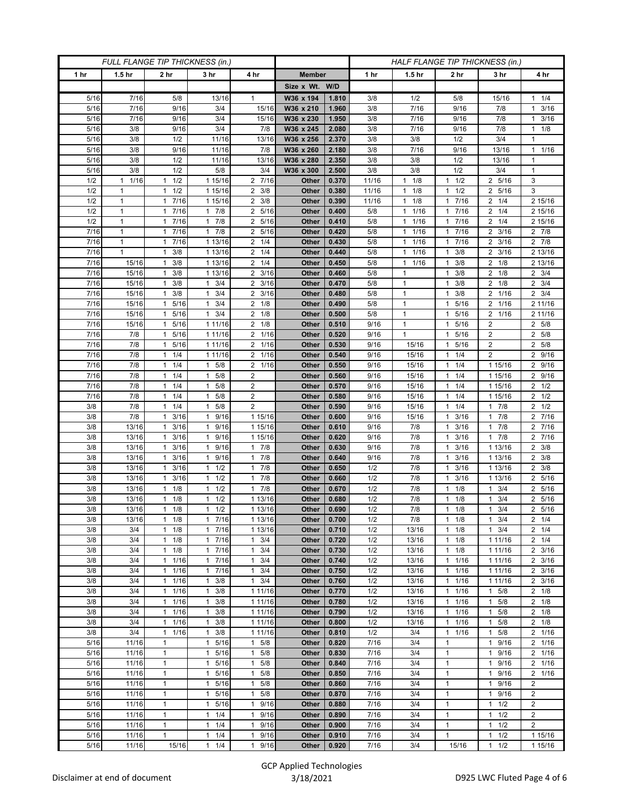| FULL FLANGE TIP THICKNESS (in.) |                   |                                   |                                |                             | HALF FLANGE TIP THICKNESS (in.) |                |              |                               |                                   |                            |                                      |
|---------------------------------|-------------------|-----------------------------------|--------------------------------|-----------------------------|---------------------------------|----------------|--------------|-------------------------------|-----------------------------------|----------------------------|--------------------------------------|
| 1 hr                            | 1.5 <sub>hr</sub> | 2 <sub>hr</sub>                   | 3 <sub>hr</sub>                | 4 hr                        | <b>Member</b>                   |                | 1 hr         | 1.5 <sub>hr</sub>             | 2 <sub>hr</sub>                   | 3 <sub>hr</sub>            | 4 hr                                 |
|                                 |                   |                                   |                                |                             | Size x Wt. W/D                  |                |              |                               |                                   |                            |                                      |
| 5/16                            | 7/16              | 5/8                               | 13/16                          | 1                           | W36 x 194                       | 1.810          | 3/8          | 1/2                           | 5/8                               | 15/16                      | $1 \t1/4$                            |
| 5/16                            | 7/16              | 9/16                              | 3/4                            | 15/16                       | W36 x 210                       | 1.960          | 3/8          | 7/16                          | 9/16                              | 7/8                        | $1 \t3/16$                           |
| 5/16                            | 7/16              | 9/16                              | 3/4<br>3/4                     | 15/16                       | W36 x 230                       | 1.950          | 3/8          | 7/16                          | 9/16                              | 7/8                        | $1 \t3/16$                           |
| 5/16<br>5/16                    | 3/8<br>3/8        | 9/16<br>1/2                       | 11/16                          | 7/8<br>13/16                | W36 x 245<br>W36 x 256          | 2.080<br>2.370 | 3/8<br>3/8   | 7/16<br>3/8                   | 9/16<br>1/2                       | 7/8<br>3/4                 | $1 \t1/8$<br>$\mathbf{1}$            |
| 5/16                            | 3/8               | 9/16                              | 11/16                          | 7/8                         | W36 x 260                       | 2.180          | 3/8          | 7/16                          | 9/16                              | 13/16                      | 11/16                                |
| 5/16                            | 3/8               | 1/2                               | 11/16                          | 13/16                       | W36 x 280                       | 2.350          | 3/8          | 3/8                           | 1/2                               | 13/16                      | 1                                    |
| 5/16                            | 3/8               | 1/2                               | 5/8                            | 3/4                         | W36 x 300                       | 2.500          | 3/8          | 3/8                           | 1/2                               | 3/4                        | $\mathbf{1}$                         |
| 1/2                             | 1/16<br>1         | 1/2                               | 1 15/16                        | 2 7/16                      | Other                           | 0.370          | 11/16        | $1 \t1/8$                     | 1/2<br>$\mathbf{1}$               | 2 5/16                     | 3                                    |
| 1/2                             | 1                 | 1/2<br>$\mathbf{1}$               | 1 15/16                        | $2 \frac{3}{8}$             | Other                           | 0.380          | 11/16        | 1/8<br>$\mathbf{1}$           | 1/2<br>$\mathbf{1}$               | 2 5/16                     | 3                                    |
| 1/2                             | 1                 | 7/16<br>$\mathbf{1}$              | 1 15/16                        | $2 \frac{3}{8}$             | Other                           | 0.390          | 11/16        | $1 \t1/8$                     | 7/16<br>1                         | $2 \t1/4$                  | 2 15/16                              |
| 1/2                             | 1                 | 7/16<br>1                         | $1 \t7/8$                      | 2 5/16                      | Other                           | 0.400          | $5/8$        | $1 \t1/16$                    | 7/16<br>1                         | $2 \t1/4$                  | 2 15/16                              |
| 1/2                             | $\mathbf{1}$      | 7/16<br>1                         | $1 \t7/8$                      | 2 5/16                      | Other                           | 0.410          | $5/8$        | 1/16<br>1                     | 7/16<br>$\mathbf{1}$<br>$7/16$    | 1/4<br>2                   | 2 15/16<br>$2 \t 7/8$                |
| 7/16<br>7/16                    | 1<br>1            | 7/16<br>$\mathbf{1}$<br>7/16<br>1 | 17/8<br>1 13/16                | 2 5/16<br>$2 \t1/4$         | Other<br>Other                  | 0.420<br>0.430 | 5/8<br>5/8   | 11/16<br>1/16<br>$\mathbf{1}$ | $\mathbf{1}$<br>7/16<br>1         | $2 \frac{3}{16}$<br>2 3/16 | $2 \t7/8$                            |
| 7/16                            | $\mathbf{1}$      | 3/8<br>1                          | 1 13/16                        | $2 \t1/4$                   | Other                           | 0.440          | 5/8          | 1/16<br>$\mathbf{1}$          | 3/8<br>$\mathbf{1}$               | $\overline{2}$<br>3/16     | 2 13/16                              |
| 7/16                            | 15/16             | 3/8<br>1                          | 1 13/16                        | $2 \t1/4$                   | Other                           | 0.450          | 5/8          | 11/16                         | 3/8<br>$\mathbf{1}$               | $2 \t1/8$                  | 2 13/16                              |
| 7/16                            | 15/16             | 3/8<br>1                          | 1 13/16                        | $2 \frac{3}{16}$            | Other                           | 0.460          | 5/8          | 1                             | 3/8<br>1                          | $2 \t1/8$                  | $2 \frac{3}{4}$                      |
| 7/16                            | 15/16             | 3/8<br>1                          | $1 \t3/4$                      | 2 3/16                      | Other                           | 0.470          | 5/8          | 1                             | 3/8<br>1                          | $2 \t1/8$                  | $2 \frac{3}{4}$                      |
| 7/16                            | 15/16             | 3/8<br>1                          | 3/4<br>$\mathbf{1}$            | $2 \frac{3}{16}$            | Other                           | 0.480          | 5/8          | $\mathbf{1}$                  | 3/8<br>1                          | 1/16<br>2                  | $2 \frac{3}{4}$                      |
| 7/16                            | 15/16             | 5/16<br>$\mathbf{1}$              | 3/4<br>$\mathbf{1}$            | $2 \t1/8$                   | Other                           | 0.490          | $5/8$        | $\mathbf{1}$                  | $5/16$<br>$\mathbf{1}$            | 2 1/16                     | 2 11/16                              |
| 7/16                            | 15/16             | 5/16<br>1                         | $1 \t3/4$                      | $2 \t1/8$                   | Other                           | 0.500          | 5/8          | 1                             | 5/16<br>1                         | 2 1/16                     | 2 11/16                              |
| 7/16                            | 15/16             | 5/16<br>1                         | 1 11/16                        | $2 \t1/8$                   | Other                           | 0.510          | 9/16         | 1                             | 5/16<br>1                         | $\overline{c}$             | 2 5/8                                |
| 7/16                            | 7/8               | 5/16<br>1                         | 1 11/16                        | 2 1/16                      | Other                           | 0.520          | 9/16         | $\mathbf{1}$                  | 5/16<br>$\mathbf{1}$              | $\overline{c}$             | 2 5/8                                |
| 7/16<br>7/16                    | 7/8<br>7/8        | 5/16<br>$\mathbf{1}$<br>1/4<br>1  | 1 11/16<br>1 11/16             | 2 1/16<br>2 1/16            | Other<br>Other                  | 0.530<br>0.540 | 9/16<br>9/16 | 15/16<br>15/16                | 5/16<br>1<br>1/4<br>1             | 2<br>2                     | 2 5/8<br>2 9/16                      |
| $7/16$                          | 7/8               | 1/4<br>$\mathbf{1}$               | $1 \t5/8$                      | 2 1/16                      | Other                           | 0.550          | 9/16         | 15/16                         | 1/4<br>$\mathbf{1}$               | 1 15/16                    | 2 9/16                               |
| 7/16                            | 7/8               | 1/4<br>$\mathbf{1}$               | $1 \t5/8$                      | $\overline{\mathbf{c}}$     | Other                           | 0.560          | 9/16         | 15/16                         | 1/4<br>$\mathbf{1}$               | 1 15/16                    | 2 9/16                               |
| 7/16                            | 7/8               | 1/4<br>1                          | 5/8<br>1                       | $\overline{2}$              | Other                           | 0.570          | 9/16         | 15/16                         | 1/4<br>$\mathbf{1}$               | 1 15/16                    | $2 \frac{1}{2}$                      |
| 7/16                            | 7/8               | 1/4<br>1                          | 5/8<br>$\mathbf{1}$            | $\overline{2}$              | Other                           | 0.580          | 9/16         | 15/16                         | 1/4<br>$\mathbf{1}$               | 1 15/16                    | $2 \frac{1}{2}$                      |
| 3/8                             | 7/8               | 1/4<br>$\mathbf{1}$               | 5/8<br>$\mathbf{1}$            | $\overline{2}$              | Other                           | 0.590          | 9/16         | 15/16                         | 1/4<br>$\mathbf{1}$               | 17/8                       | $2 \frac{1}{2}$                      |
| 3/8                             | 7/8               | 3/16<br>$\mathbf{1}$              | 9/16<br>$\mathbf{1}$           | 1 15/16                     | Other                           | 0.600          | 9/16         | 15/16                         | 3/16<br>1                         | 7/8<br>1                   | $2 \t 7/16$                          |
| 3/8                             | 13/16             | 3/16<br>1                         | 9/16<br>$\mathbf{1}$           | 1 15/16                     | Other                           | 0.610          | 9/16         | 7/8                           | 3/16<br>1                         | 7/8<br>$\mathbf{1}$        | 2 7/16                               |
| 3/8                             | 13/16             | 3/16<br>1                         | 9/16<br>$\mathbf{1}$           | 1 15/16                     | Other                           | 0.620          | 9/16         | 7/8                           | 3/16<br>$\mathbf{1}$              | 17/8                       | 2 7/16                               |
| 3/8                             | 13/16             | 3/16<br>1                         | 9/16<br>$\mathbf{1}$           | 17/8                        | Other                           | 0.630          | 9/16         | 7/8                           | 3/16<br>$\mathbf{1}$              | 1 13/16                    | $2 \frac{3}{8}$                      |
| 3/8<br>3/8                      | 13/16<br>13/16    | 3/16<br>$\mathbf{1}$<br>3/16<br>1 | 1 9/16<br>1/2<br>$\mathbf{1}$  | 17/8<br>7/8<br>$\mathbf{1}$ | Other<br>Other                  | 0.640<br>0.650 | 9/16<br>1/2  | 7/8<br>7/8                    | 3/16<br>1<br>3/16<br>1            | 1 13/16<br>1 13/16         | $2 \frac{3}{8}$<br>$2 \frac{3}{8}$   |
| 3/8                             | 13/16             | 3/16<br>1                         | 1/2<br>$\mathbf{1}$            | 7/8<br>1                    | Other                           | 0.660          | 1/2          | 7/8                           | 3/16<br>1                         | 1 13/16                    | 2 5/16                               |
| 3/8                             | 13/16             | 1/8<br>$\mathbf{1}$               | $1 \t1/2$                      | 17/8                        | Other                           | 0.670          | 1/2          | 7/8                           | 1/8<br>$\mathbf{1}$               | 3/4<br>$\mathbf{1}$        | 2 5/16                               |
| 3/8                             | 13/16             | 1/8<br>1                          | 1/2<br>$\mathbf{1}$            | 1 13/16                     | Other                           | 0.680          | 1/2          | 7/8                           | 1/8<br>1                          | 3/4                        | 2 5/16                               |
| 3/8                             | 13/16             | 1/8<br>$\mathbf{1}$               | 1/2<br>$\mathbf{1}$            | 1 13/16                     | Other                           | 0.690          | 1/2          | 7/8                           | 1/8<br>$\mathbf{1}$               | 3/4<br>$\mathbf{1}$        | 2 5/16                               |
| 3/8                             | 13/16             | $1 \t1/8$                         | 17/16                          | 1 13/16                     | Other                           | 0.700          | 1/2          | 7/8                           | 1/8<br>$\mathbf{1}$               | $1 \t3/4$                  | $2 \t1/4$                            |
| 3/8                             | 3/4               | $1 \t1/8$                         | 17/16                          | 1 13/16                     | Other                           | 0.710          | 1/2          | 13/16                         | 1/8<br>$\mathbf{1}$               | $1 \t3/4$                  | $2 \t1/4$                            |
| 3/8                             | 3/4               | 1/8<br>$\mathbf{1}$               | 17/16                          | $1 \t3/4$                   | Other                           | 0.720          | 1/2          | 13/16                         | 1/8<br>1                          | 1 1 1 / 16                 | $2 \t1/4$                            |
| 3/8                             | 3/4               | 1/8<br>1                          | 1 7/16                         | $1 \t3/4$                   | Other                           | 0.730          | 1/2          | 13/16                         | 1/8<br>$\mathbf{1}$               | 1 1 1 / 1 6                | $2 \frac{3}{16}$                     |
| 3/8<br>3/8                      | 3/4<br>3/4        | 1/16<br>$\mathbf{1}$<br>11/16     | 17/16<br>1 7/16                | $1 \t3/4$<br>$1 \t3/4$      | Other<br>Other                  | 0.740<br>0.750 | 1/2<br>1/2   | 13/16<br>13/16                | 1/16<br>$\mathbf{1}$<br>1/16<br>1 | 1 1 1 / 1 6<br>1 1 1 / 16  | $2 \frac{3}{16}$<br>$2 \frac{3}{16}$ |
| 3/8                             | 3/4               | 1/16<br>1                         | 3/8<br>1                       | $1 \t3/4$                   | Other                           | 0.760          | 1/2          | 13/16                         | 1/16<br>1                         | 1 1 1 / 1 6                | $2 \frac{3}{16}$                     |
| 3/8                             | 3/4               | 1/16<br>$\mathbf{1}$              | $1 \t3/8$                      | 1 11/16                     | Other                           | 0.770          | 1/2          | 13/16                         | 1/16<br>$\mathbf{1}$              | $1 \t5/8$                  | $2 \t1/8$                            |
| 3/8                             | 3/4               | 11/16                             | $1 \t3/8$                      | 1 11/16                     | Other                           | 0.780          | 1/2          | 13/16                         | 1/16<br>1                         | $1 \t5/8$                  | $2 \t1/8$                            |
| 3/8                             | 3/4               | 1/16<br>$\mathbf{1}$              | 3/8<br>$\mathbf{1}$            | 1 11/16                     | Other                           | 0.790          | 1/2          | 13/16                         | 1/16<br>$\mathbf{1}$              | 5/8<br>1                   | $2 \t1/8$                            |
| 3/8                             | 3/4               | 1/16<br>$\mathbf{1}$              | $1 \t3/8$                      | 1 11/16                     | Other                           | 0.800          | 1/2          | 13/16                         | 1/16<br>$\mathbf{1}$              | 5/8<br>$\mathbf{1}$        | $2 \t1/8$                            |
| 3/8                             | 3/4               | 11/16                             | $1 \t3/8$                      | 1 11/16                     | Other                           | 0.810          | 1/2          | 3/4                           | 1/16<br>$\mathbf{1}$              | 5/8<br>$\mathbf{1}$        | 2 1/16                               |
| 5/16                            | 11/16             | 1                                 | 5/16<br>1                      | $1 \t5/8$                   | Other                           | 0.820          | 7/16         | 3/4                           | $\mathbf{1}$                      | 9/16<br>1                  | 2 1/16                               |
| 5/16                            | 11/16             | $\mathbf{1}$                      | 5/16<br>$\mathbf{1}$           | 5/8<br>$\mathbf{1}$         | Other                           | 0.830          | 7/16         | 3/4                           | $\mathbf{1}$                      | 9/16<br>1                  | 2 1/16                               |
| 5/16<br>5/16                    | 11/16<br>11/16    | 1<br>$\mathbf{1}$                 | 1 5/16<br>5/16<br>$\mathbf{1}$ | $1 \t5/8$<br>$1 \t5/8$      | Other<br>Other                  | 0.840<br>0.850 | 7/16<br>7/16 | 3/4<br>3/4                    | $\mathbf{1}$<br>$\mathbf{1}$      | 1 9/16<br>9/16<br>1        | 2 1/16<br>2 1/16                     |
| 5/16                            | 11/16             | $\mathbf{1}$                      | 5/16<br>$\mathbf{1}$           | 5/8<br>$\mathbf{1}$         | Other                           | 0.860          | 7/16         | 3/4                           | $\mathbf{1}$                      | 9/16<br>1                  | $\overline{2}$                       |
| 5/16                            | 11/16             | $\mathbf{1}$                      | 1 5/16                         | 5/8<br>$\mathbf{1}$         | Other                           | 0.870          | 7/16         | 3/4                           | $\mathbf{1}$                      | 9/16<br>1                  | $\overline{2}$                       |
| 5/16                            | 11/16             | $\mathbf{1}$                      | 5/16<br>1                      | 9/16<br>$\mathbf{1}$        | Other                           | 0.880          | 7/16         | 3/4                           | $\mathbf{1}$                      | 1/2<br>1                   | $\overline{2}$                       |
| 5/16                            | 11/16             | $\mathbf{1}$                      | $1 \t1/4$                      | 1 9/16                      | Other                           | 0.890          | 7/16         | 3/4                           | $\mathbf{1}$                      | 1/2<br>$\mathbf{1}$        | $\overline{2}$                       |
| 5/16                            | 11/16             | $\mathbf{1}$                      | 1/4<br>$\mathbf{1}$            | 1 9/16                      | Other                           | 0.900          | 7/16         | 3/4                           | $\mathbf{1}$                      | 1/2<br>1                   | $\overline{2}$                       |
| 5/16                            | 11/16             | $\mathbf{1}$                      | $1 \t1/4$                      | 9/16<br>$\mathbf{1}$        | Other                           | 0.910          | 7/16         | 3/4                           | $\mathbf{1}$                      | 1/2<br>1                   | 1 15/16                              |
| 5/16                            | 11/16             | 15/16                             | $1 \t1/4$                      | 1 9/16                      | Other                           | 0.920          | 7/16         | 3/4                           | 15/16                             | 1/2<br>$\mathbf{1}$        | 1 15/16                              |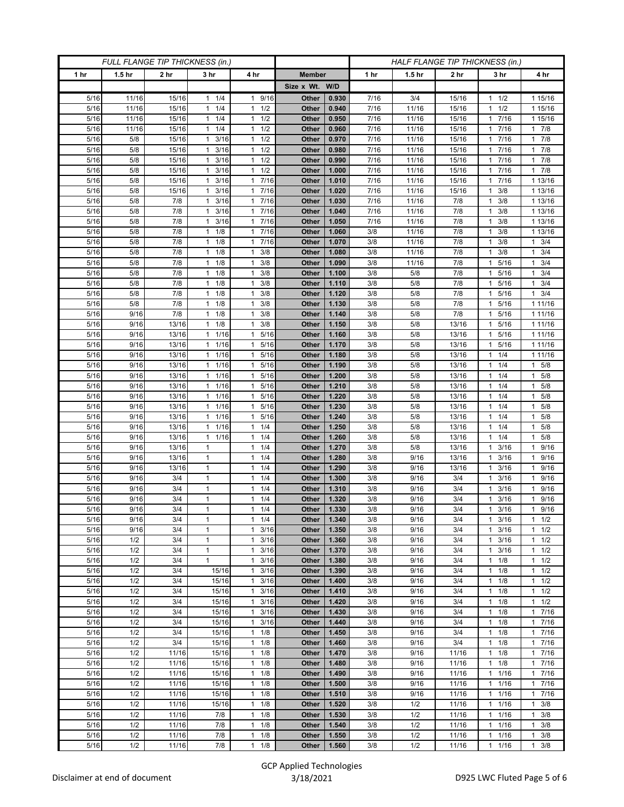| FULL FLANGE TIP THICKNESS (in.) |                   |                 |                                              |                                              | HALF FLANGE TIP THICKNESS (in.) |                |              |                   |                 |                       |                        |
|---------------------------------|-------------------|-----------------|----------------------------------------------|----------------------------------------------|---------------------------------|----------------|--------------|-------------------|-----------------|-----------------------|------------------------|
| 1 <sub>hr</sub>                 | 1.5 <sub>hr</sub> | 2 <sub>hr</sub> | 3 <sub>hr</sub>                              | 4 hr                                         | <b>Member</b>                   |                | 1 hr         | 1.5 <sub>hr</sub> | 2 <sub>hr</sub> | 3 <sub>hr</sub>       | 4 hr                   |
|                                 |                   |                 |                                              |                                              | Size x Wt. W/D                  |                |              |                   |                 |                       |                        |
| 5/16                            | 11/16             | 15/16           | $1 \t1/4$                                    | 9/16<br>$\mathbf{1}$                         | Other                           | 0.930          | 7/16         | 3/4               | 15/16           | 1/2<br>1              | 1 15/16                |
| 5/16                            | 11/16             | 15/16           | 1/4<br>$\mathbf{1}$                          | 1/2<br>$\mathbf{1}$                          | Other                           | 0.940          | 7/16         | 11/16             | 15/16           | 1/2<br>1              | 1 15/16                |
| 5/16                            | 11/16             | 15/16           | $1 \t1/4$                                    | $1 \t1/2$                                    | Other                           | 0.950          | 7/16         | 11/16             | 15/16           | 1 7/16                | 1 15/16                |
| 5/16                            | 11/16             | 15/16           | 1/4<br>1                                     | 1/2<br>1                                     | Other                           | 0.960          | 7/16         | 11/16             | 15/16           | 7/16                  | $1 \t7/8$              |
| 5/16                            | 5/8               | 15/16           | 3/16<br>$\mathbf{1}$                         | 1/2<br>$\mathbf{1}$                          | Other                           | 0.970          | 7/16         | 11/16             | 15/16           | 7/16<br>1             | $1 \t7/8$              |
| 5/16                            | 5/8               | 15/16           | $1 \t3/16$                                   | $1 \t1/2$                                    | Other                           | 0.980          | 7/16         | 11/16             | 15/16           | 1 7/16                | $1 \t7/8$              |
| 5/16                            | 5/8               | 15/16           | 3/16<br>1                                    | 1/2<br>$\mathbf{1}$                          | Other                           | 0.990          | 7/16         | 11/16             | 15/16           | 7/16<br>1             | $1 \t7/8$              |
| 5/16                            | 5/8               | 15/16           | 3/16<br>$\mathbf{1}$                         | 1/2<br>$\mathbf{1}$                          | Other                           | 1.000          | 7/16         | 11/16             | 15/16           | 7/16<br>1             | 17/8                   |
| 5/16                            | 5/8               | 15/16           | 3/16<br>$\mathbf{1}$                         | 17/16                                        | Other                           | 1.010          | 7/16         | 11/16             | 15/16           | 1 7/16                | 1 13/16                |
| 5/16                            | 5/8               | 15/16           | $1 \t3/16$                                   | 17/16                                        | Other                           | 1.020          | 7/16         | 11/16             | 15/16           | 3/8<br>1<br>1         | 1 13/16                |
| 5/16<br>5/16                    | 5/8<br>5/8        | 7/8<br>7/8      | 3/16<br>$\mathbf{1}$<br>3/16<br>$\mathbf{1}$ | 7/16<br>$\mathbf{1}$<br>17/16                | Other<br>Other                  | 1.030<br>1.040 | 7/16<br>7/16 | 11/16<br>11/16    | 7/8<br>7/8      | 3/8<br>3/8            | 1 13/16<br>1 13/16     |
| 5/16                            | 5/8               | 7/8             | $1 \t3/16$                                   | 17/16                                        | Other                           | 1.050          | 7/16         | 11/16             | 7/8             | 3/8<br>1              | 1 13/16                |
| 5/16                            | 5/8               | 7/8             | $1 \t1/8$                                    | 17/16                                        | Other                           | 1.060          | 3/8          | 11/16             | 7/8             | 3/8<br>1              | 1 13/16                |
| 5/16                            | 5/8               | 7/8             | $1 \t1/8$                                    | 1 7/16                                       | Other                           | 1.070          | 3/8          | 11/16             | 7/8             | 3/8                   | $1 \t3/4$              |
| 5/16                            | 5/8               | 7/8             | $1 \t1/8$                                    | 3/8<br>$\mathbf{1}$                          | Other                           | 1.080          | 3/8          | 11/16             | 7/8             | 3/8<br>1              | $1 \t3/4$              |
| 5/16                            | 5/8               | 7/8             | $1 \t1/8$                                    | 3/8<br>$\mathbf{1}$                          | Other                           | 1.090          | 3/8          | 11/16             | 7/8             | 5/16<br>1             | $1 \t3/4$              |
| 5/16                            | 5/8               | 7/8             | 1/8<br>$\mathbf{1}$                          | 3/8<br>1                                     | Other                           | 1.100          | 3/8          | 5/8               | 7/8             | 5/16                  | $1 \t3/4$              |
| 5/16                            | 5/8               | 7/8             | 1/8<br>$\mathbf{1}$                          | 3/8<br>1                                     | Other                           | 1.110          | 3/8          | 5/8               | 7/8             | 5/16<br>1             | $1 \t3/4$              |
| 5/16                            | 5/8               | 7/8             | $1 \t1/8$                                    | 3/8<br>$\mathbf{1}$                          | Other                           | 1.120          | 3/8          | 5/8               | 7/8             | 5/16<br>1             | $1 \t3/4$              |
| 5/16                            | 5/8               | 7/8             | 1/8<br>$\mathbf{1}$                          | 3/8<br>1                                     | Other                           | 1.130          | 3/8          | 5/8               | 7/8             | 5/16                  | 1 1 1 / 1 6            |
| 5/16                            | 9/16              | 7/8             | 1/8<br>$\mathbf{1}$                          | 3/8<br>$\mathbf{1}$                          | Other                           | 1.140          | 3/8          | 5/8               | 7/8             | 5/16                  | 1 1 1 / 1 6            |
| 5/16                            | 9/16              | 13/16           | $1 \t1/8$                                    | 3/8<br>$\mathbf{1}$                          | Other                           | 1.150          | 3/8          | 5/8               | 13/16           | 5/16<br>1             | 1 1 1 / 16             |
| 5/16                            | 9/16              | 13/16           | 1 1/16                                       | 1 5/16                                       | Other                           | 1.160          | 3/8          | 5/8               | 13/16           | 5/16<br>1             | 1 1 1 / 1 6            |
| 5/16                            | 9/16              | 13/16           | $1 \t1/16$                                   | 5/16<br>$\mathbf{1}$                         | Other                           | 1.170          | 3/8          | 5/8               | 13/16           | 5/16<br>1             | 1 11/16                |
| 5/16                            | 9/16              | 13/16           | 1 1/16                                       | 5/16<br>$\mathbf{1}$                         | Other                           | 1.180          | 3/8          | 5/8               | 13/16           | 1/4<br>1              | 1 11/16                |
| 5/16                            | 9/16              | 13/16           | 1 1/16                                       | 5/16<br>$\mathbf{1}$                         | Other                           | 1.190          | 3/8          | 5/8               | 13/16           | 1/4<br>1              | $1 \t5/8$              |
| 5/16                            | 9/16              | 13/16           | 1 1/16                                       | 1 5/16                                       | Other                           | 1.200          | 3/8          | 5/8               | 13/16           | $1 \t1/4$             | $1 \t5/8$              |
| 5/16                            | 9/16              | 13/16           | 1/16<br>1                                    | 5/16<br>$\mathbf{1}$                         | Other                           | 1.210          | 3/8          | 5/8               | 13/16           | 1/4                   | 1 5/8                  |
| 5/16                            | 9/16              | 13/16<br>13/16  | 11/16<br>$1 \t1/16$                          | 5/16<br>$\mathbf{1}$<br>1 5/16               | Other                           | 1.220<br>1.230 | 3/8          | 5/8               | 13/16           | 1/4<br>1              | $1 \t5/8$<br>1 5/8     |
| 5/16<br>5/16                    | 9/16<br>9/16      | 13/16           | 1/16<br>$\mathbf{1}$                         | 5/16<br>$\mathbf{1}$                         | Other<br>Other                  | 1.240          | 3/8<br>3/8   | 5/8<br>5/8        | 13/16<br>13/16  | $1 \t1/4$<br>1/4<br>1 | 5/8<br>1               |
| 5/16                            | 9/16              | 13/16           | 1 1/16                                       | 1/4<br>$\mathbf{1}$                          | Other                           | 1.250          | 3/8          | 5/8               | 13/16           | 1/4<br>1              | $1 \t5/8$              |
| 5/16                            | 9/16              | 13/16           | $1 \t1/16$                                   | $1 \t1/4$                                    | Other                           | 1.260          | 3/8          | 5/8               | 13/16           | $1 \t1/4$             | 1 5/8                  |
| 5/16                            | 9/16              | 13/16           | $\mathbf{1}$                                 | $1 \t1/4$                                    | Other                           | 1.270          | 3/8          | 5/8               | 13/16           | 3/16<br>1             | 1 9/16                 |
| 5/16                            | 9/16              | 13/16           | $\mathbf{1}$                                 | 1/4<br>1                                     | Other                           | 1.280          | 3/8          | 9/16              | 13/16           | 3/16<br>1             | 1 9/16                 |
| 5/16                            | 9/16              | 13/16           | $\mathbf{1}$                                 | 1/4<br>$\mathbf{1}$                          | Other                           | 1.290          | 3/8          | 9/16              | 13/16           | 3/16<br>1             | 1 9/16                 |
| 5/16                            | 9/16              | 3/4             | $\mathbf{1}$                                 | 1/4<br>$\mathbf{1}$                          | Other                           | 1.300          | 3/8          | 9/16              | 3/4             | 3/16<br>1             | 1 9/16                 |
| 5/16                            | 9/16              | 3/4             | $\mathbf{1}$                                 | $1 \t1/4$                                    | Other                           | 1.310          | 3/8          | 9/16              | 3/4             | 3/16<br>1             | 1 9/16                 |
| 5/16                            | 9/16              | 3/4             | $\mathbf{1}$                                 | 1/4<br>$\mathbf{1}$                          | Other                           | 1.320          | 3/8          | 9/16              | 3/4             | 3/16                  | 9/16<br>$\mathbf{1}$   |
| 5/16                            | 9/16              | 3/4             | $\mathbf{1}$                                 | 1/4<br>$\mathbf{1}$                          | Other                           | 1.330          | 3/8          | 9/16              | 3/4             | 3/16<br>$\mathbf{1}$  | $1 \t9/16$             |
| 5/16                            | 9/16              | 3/4             | $\mathbf{1}$                                 | $1 \t1/4$                                    | Other                           | 1.340          | 3/8          | 9/16              | 3/4             | $1 \t3/16$            | $1 \t1/2$              |
| 5/16                            | 9/16              | 3/4             | $\mathbf{1}$                                 | $\mathbf{1}$<br>3/16                         | Other                           | 1.350          | 3/8          | 9/16              | 3/4             | 3/16<br>1             | $1 \t1/2$              |
| 5/16                            | 1/2               | 3/4             | $\mathbf{1}$                                 | 3/16<br>$\mathbf{1}$                         | Other                           | 1.360          | 3/8          | 9/16              | 3/4             | 3/16<br>1             | $1 \t1/2$              |
| 5/16                            | 1/2               | 3/4             | $\mathbf{1}$                                 | 3/16<br>$\mathbf{1}$                         | <b>Other</b>                    | 1.370          | 3/8          | 9/16              | 3/4             | 3/16<br>1             | $1 \t1/2$              |
| 5/16                            | 1/2               | 3/4             | $\mathbf{1}$                                 | 3/16<br>$\mathbf{1}$                         | Other                           | 1.380          | 3/8          | 9/16              | 3/4             | 1/8<br>1<br>1         | $1 \t1/2$              |
| 5/16<br>5/16                    | 1/2<br>1/2        | 3/4<br>3/4      | 15/16<br>15/16                               | 3/16<br>$\mathbf{1}$<br>3/16<br>$\mathbf{1}$ | Other<br>Other                  | 1.390<br>1.400 | 3/8<br>3/8   | 9/16<br>9/16      | 3/4<br>3/4      | 1/8<br>1/8<br>1       | $1 \t1/2$<br>$1 \t1/2$ |
| 5/16                            | 1/2               | 3/4             | 15/16                                        | $1 \t3/16$                                   | Other                           | 1.410          | 3/8          | 9/16              | 3/4             | 1/8<br>$\mathbf{1}$   | $1 \t1/2$              |
| 5/16                            | 1/2               | 3/4             | 15/16                                        | $1 \t3/16$                                   | Other                           | 1.420          | 3/8          | 9/16              | 3/4             | 1/8<br>$\mathbf{1}$   | $1 \t1/2$              |
| 5/16                            | 1/2               | 3/4             | 15/16                                        | 3/16<br>$\mathbf{1}$                         | Other                           | 1.430          | 3/8          | 9/16              | 3/4             | 1/8<br>1              | 17/16                  |
| 5/16                            | 1/2               | 3/4             | 15/16                                        | $1 \t3/16$                                   | Other                           | 1.440          | 3/8          | 9/16              | 3/4             | 1/8<br>$\mathbf{1}$   | 17/16                  |
| 5/16                            | 1/2               | 3/4             | 15/16                                        | $1 \t1/8$                                    | Other                           | 1.450          | 3/8          | 9/16              | 3/4             | $1 \t1/8$             | 17/16                  |
| 5/16                            | 1/2               | 3/4             | 15/16                                        | $\mathbf{1}$<br>1/8                          | Other                           | 1.460          | 3/8          | 9/16              | 3/4             | 1/8<br>1              | 17/16                  |
| 5/16                            | 1/2               | 11/16           | 15/16                                        | $1 \t1/8$                                    | Other                           | 1.470          | 3/8          | 9/16              | 11/16           | 1/8<br>$\mathbf{1}$   | $1 \t7/16$             |
| 5/16                            | 1/2               | 11/16           | 15/16                                        | $1 \t1/8$                                    | Other                           | 1.480          | 3/8          | 9/16              | 11/16           | $1 \t1/8$             | 17/16                  |
| 5/16                            | 1/2               | 11/16           | 15/16                                        | $1 \t1/8$                                    | Other                           | 1.490          | 3/8          | 9/16              | 11/16           | 1/16<br>1             | 17/16                  |
| 5/16                            | 1/2               | 11/16           | 15/16                                        | $1 \t1/8$                                    | Other                           | 1.500          | 3/8          | 9/16              | 11/16           | 1/16<br>$\mathbf{1}$  | 17/16                  |
| 5/16                            | 1/2               | 11/16           | 15/16                                        | $1 \t1/8$                                    | Other                           | 1.510          | 3/8          | 9/16              | 11/16           | 11/16                 | 17/16                  |
| 5/16                            | 1/2               | 11/16           | 15/16                                        | $1 \t1/8$                                    | Other                           | 1.520          | 3/8          | 1/2               | 11/16           | 1/16<br>1             | $1 \t3/8$              |
| 5/16                            | 1/2               | 11/16           | 7/8                                          | 1/8<br>$\mathbf{1}$                          | Other                           | 1.530          | 3/8          | 1/2               | 11/16           | 1/16<br>$\mathbf{1}$  | $1 \t3/8$              |
| 5/16                            | 1/2               | 11/16           | 7/8                                          | $1 \t1/8$                                    | Other                           | 1.540          | 3/8          | 1/2               | 11/16           | 11/16                 | $1 \t3/8$              |
| 5/16                            | 1/2               | 11/16           | 7/8                                          | $1 \t1/8$                                    | Other                           | 1.550          | 3/8          | 1/2               | 11/16           | 1/16<br>$\mathbf{1}$  | $1 \t3/8$              |
| 5/16                            | 1/2               | 11/16           | 7/8                                          | $1 \t1/8$                                    | Other                           | 1.560          | 3/8          | 1/2               | 11/16           | $1 \t1/16$            | $1 \t3/8$              |